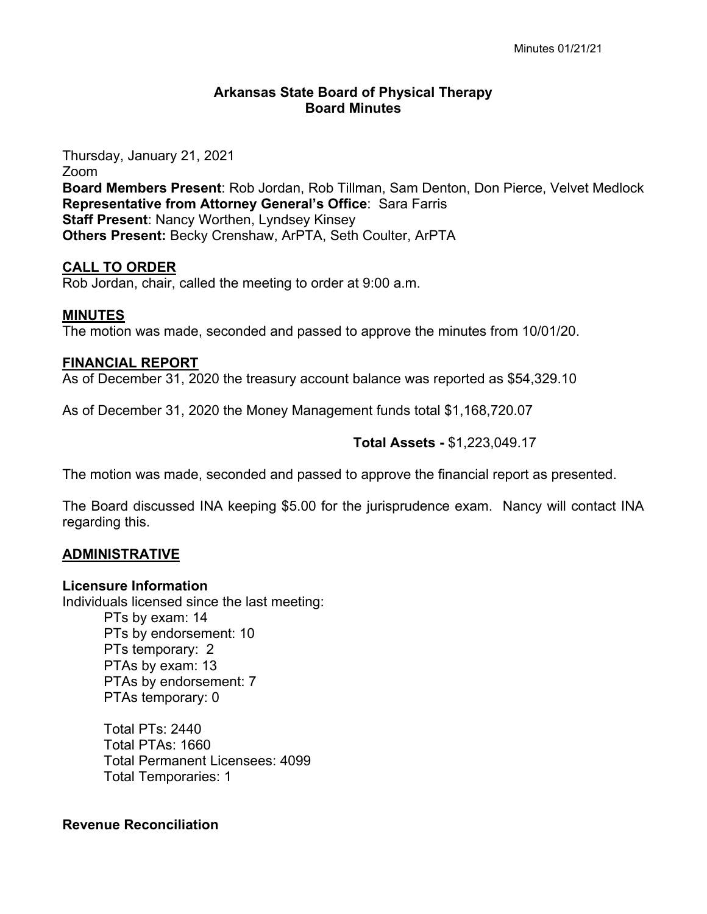## **Arkansas State Board of Physical Therapy Board Minutes**

Thursday, January 21, 2021 Zoom **Board Members Present**: Rob Jordan, Rob Tillman, Sam Denton, Don Pierce, Velvet Medlock **Representative from Attorney General's Office**: Sara Farris **Staff Present**: Nancy Worthen, Lyndsey Kinsey **Others Present:** Becky Crenshaw, ArPTA, Seth Coulter, ArPTA

## **CALL TO ORDER**

Rob Jordan, chair, called the meeting to order at 9:00 a.m.

## **MINUTES**

The motion was made, seconded and passed to approve the minutes from 10/01/20.

### **FINANCIAL REPORT**

As of December 31, 2020 the treasury account balance was reported as \$54,329.10

As of December 31, 2020 the Money Management funds total \$1,168,720.07

## **Total Assets -** \$1,223,049.17

The motion was made, seconded and passed to approve the financial report as presented.

The Board discussed INA keeping \$5.00 for the jurisprudence exam. Nancy will contact INA regarding this.

## **ADMINISTRATIVE**

## **Licensure Information**

Individuals licensed since the last meeting: PTs by exam: 14 PTs by endorsement: 10 PTs temporary: 2 PTAs by exam: 13 PTAs by endorsement: 7 PTAs temporary: 0

> Total PTs: 2440 Total PTAs: 1660 Total Permanent Licensees: 4099 Total Temporaries: 1

## **Revenue Reconciliation**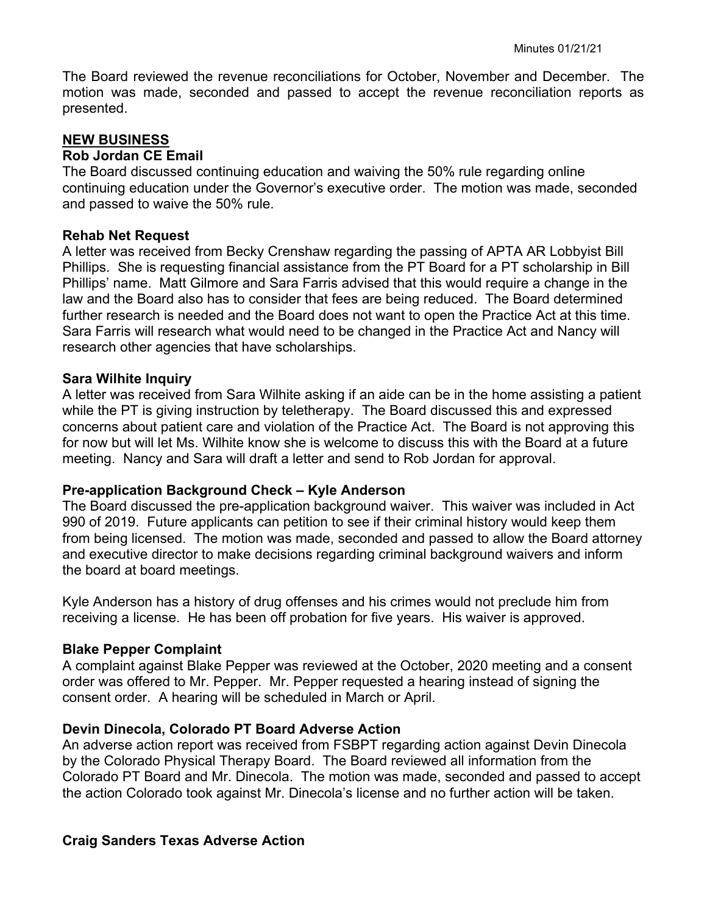The Board reviewed the revenue reconciliations for October, November and December. The motion was made, seconded and passed to accept the revenue reconciliation reports as presented.

### **NEW BUSINESS**

### **Rob Jordan CE Email**

The Board discussed continuing education and waiving the 50% rule regarding online continuing education under the Governor's executive order. The motion was made, seconded and passed to waive the 50% rule.

#### **Rehab Net Request**

A letter was received from Becky Crenshaw regarding the passing of APTA AR Lobbyist Bill Phillips. She is requesting financial assistance from the PT Board for a PT scholarship in Bill Phillips' name. Matt Gilmore and Sara Farris advised that this would require a change in the law and the Board also has to consider that fees are being reduced. The Board determined further research is needed and the Board does not want to open the Practice Act at this time. Sara Farris will research what would need to be changed in the Practice Act and Nancy will research other agencies that have scholarships.

#### **Sara Wilhite Inquiry**

A letter was received from Sara Wilhite asking if an aide can be in the home assisting a patient while the PT is giving instruction by teletherapy. The Board discussed this and expressed concerns about patient care and violation of the Practice Act. The Board is not approving this for now but will let Ms. Wilhite know she is welcome to discuss this with the Board at a future meeting. Nancy and Sara will draft a letter and send to Rob Jordan for approval.

### **Pre-application Background Check – Kyle Anderson**

The Board discussed the pre-application background waiver. This waiver was included in Act 990 of 2019. Future applicants can petition to see if their criminal history would keep them from being licensed. The motion was made, seconded and passed to allow the Board attorney and executive director to make decisions regarding criminal background waivers and inform the board at board meetings.

Kyle Anderson has a history of drug offenses and his crimes would not preclude him from receiving a license. He has been off probation for five years. His waiver is approved.

### **Blake Pepper Complaint**

A complaint against Blake Pepper was reviewed at the October, 2020 meeting and a consent order was offered to Mr. Pepper. Mr. Pepper requested a hearing instead of signing the consent order. A hearing will be scheduled in March or April.

### **Devin Dinecola, Colorado PT Board Adverse Action**

An adverse action report was received from FSBPT regarding action against Devin Dinecola by the Colorado Physical Therapy Board. The Board reviewed all information from the Colorado PT Board and Mr. Dinecola. The motion was made, seconded and passed to accept the action Colorado took against Mr. Dinecola's license and no further action will be taken.

### **Craig Sanders Texas Adverse Action**